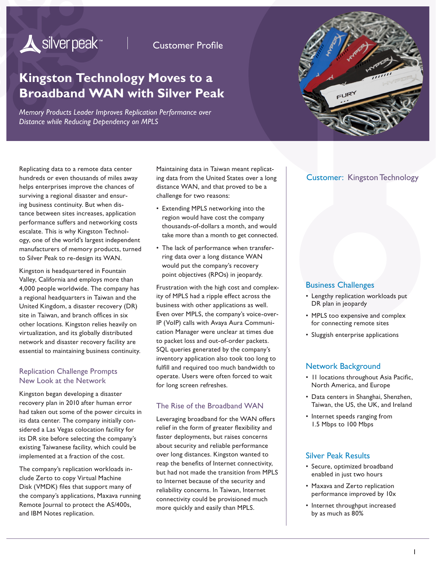# Silver peak<sup>\*\*</sup>

**Customer Profile** 

# **Kingston Technology Moves to a Broadband WAN with Silver Peak**

*Memory Products Leader Improves Replication Performance over Distance while Reducing Dependency on MPLS* 



Replicating data to a remote data center hundreds or even thousands of miles away helps enterprises improve the chances of surviving a regional disaster and ensuring business continuity. But when distance between sites increases, application performance suffers and networking costs escalate. This is why Kingston Technology, one of the world's largest independent manufacturers of memory products, turned to Silver Peak to re-design its WAN.

Kingston is headquartered in Fountain Valley, California and employs more than 4,000 people worldwide. The company has a regional headquarters in Taiwan and the United Kingdom, a disaster recovery (DR) site in Taiwan, and branch offices in six other locations. Kingston relies heavily on virtualization, and its globally distributed network and disaster recovery facility are essential to maintaining business continuity.

#### Replication Challenge Prompts New Look at the Network

Kingston began developing a disaster recovery plan in 2010 after human error had taken out some of the power circuits in its data center. The company initially considered a Las Vegas colocation facility for its DR site before selecting the company's existing Taiwanese facility, which could be implemented at a fraction of the cost.

The company's replication workloads include Zerto to copy Virtual Machine Disk (VMDK) files that support many of the company's applications, Maxava running Remote Journal to protect the AS/400s, and IBM Notes replication.

Maintaining data in Taiwan meant replicating data from the United States over a long distance WAN, and that proved to be a challenge for two reasons:

- Extending MPLS networking into the region would have cost the company thousands-of-dollars a month, and would take more than a month to get connected.
- The lack of performance when transferring data over a long distance WAN would put the company's recovery point objectives (RPOs) in jeopardy.

Frustration with the high cost and complexity of MPLS had a ripple effect across the business with other applications as well. Even over MPLS, the company's voice-over-IP (VoIP) calls with Avaya Aura Communication Manager were unclear at times due to packet loss and out-of-order packets. SQL queries generated by the company's inventory application also took too long to fulfill and required too much bandwidth to operate. Users were often forced to wait for long screen refreshes.

### The Rise of the Broadband WAN

Leveraging broadband for the WAN offers relief in the form of greater flexibility and faster deployments, but raises concerns about security and reliable performance over long distances. Kingston wanted to reap the benefits of Internet connectivity, but had not made the transition from MPLS to Internet because of the security and reliability concerns. In Taiwan, Internet connectivity could be provisioned much more quickly and easily than MPLS.

### Customer: Kingston Technology

#### Business Challenges

- Lengthy replication workloads put DR plan in jeopardy
- MPLS too expensive and complex for connecting remote sites
- Sluggish enterprise applications

## Network Background

- 11 locations throughout Asia Pacific, North America, and Europe
- Data centers in Shanghai, Shenzhen, Taiwan, the US, the UK, and Ireland
- Internet speeds ranging from 1.5 Mbps to 100 Mbps

### Silver Peak Results

- Secure, optimized broadband enabled in just two hours
- Maxava and Zerto replication performance improved by 10x
- Internet throughput increased by as much as 80%